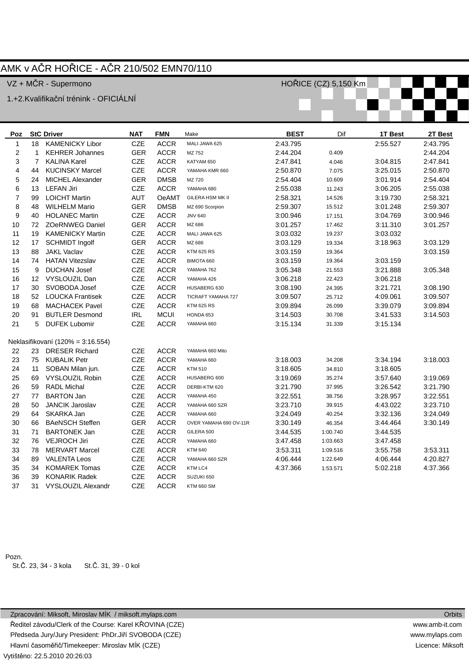## AMK v AČR HOŘICE - AČR 210/502 EMN70/110

VZ + MČR - Supermono

1.+2.Kvalifikační trénink - OFICIÁLNÍ

| Poz                     | <b>StC Driver</b> |                                   | <b>NAT</b> | <b>FMN</b>   | Make                    | <b>BEST</b> | Dif      | 1T Best  | 2T Best  |  |
|-------------------------|-------------------|-----------------------------------|------------|--------------|-------------------------|-------------|----------|----------|----------|--|
| 1                       | 18                | <b>KAMENICKY Libor</b>            | CZE        | <b>ACCR</b>  | MALI JAWA 625           | 2:43.795    |          | 2:55.527 | 2:43.795 |  |
| 2                       | $\mathbf{1}$      | <b>KEHRER Johannes</b>            | <b>GER</b> | <b>ACCR</b>  | MZ 752                  | 2:44.204    | 0.409    |          | 2:44.204 |  |
| 3                       | $\overline{7}$    | <b>KALINA Karel</b>               | <b>CZE</b> | <b>ACCR</b>  | KATYAM 650              | 2:47.841    | 4.046    | 3:04.815 | 2:47.841 |  |
| 4                       | 44                | <b>KUCINSKY Marcel</b>            | CZE        | <b>ACCR</b>  | YAMAHA KMR 660          | 2:50.870    | 7.075    | 3:25.015 | 2:50.870 |  |
| 5                       | 24                | MICHEL Alexander                  | <b>GER</b> | <b>DMSB</b>  | MZ 720                  | 2:54.404    | 10.609   | 3:01.914 | 2:54.404 |  |
| 6                       | 13                | <b>LEFAN Jiri</b>                 | <b>CZE</b> | <b>ACCR</b>  | YAMAHA 680              | 2:55.038    | 11.243   | 3:06.205 | 2:55.038 |  |
| $\overline{\mathbf{7}}$ | 99                | <b>LOICHT Martin</b>              | <b>AUT</b> | <b>OeAMT</b> | <b>GILERA HSM MK II</b> | 2:58.321    | 14.526   | 3:19.730 | 2:58.321 |  |
| 8                       | 48                | <b>WILHELM Mario</b>              | <b>GER</b> | <b>DMSB</b>  | MZ 690 Scorpion         | 2:59.307    | 15.512   | 3:01.248 | 2:59.307 |  |
| 9                       | 40                | <b>HOLANEC Martin</b>             | CZE        | <b>ACCR</b>  | <b>JNV 640</b>          | 3:00.946    | 17.151   | 3:04.769 | 3:00.946 |  |
| 10                      | 72                | <b>ZOeRNWEG Daniel</b>            | <b>GER</b> | <b>ACCR</b>  | MZ 686                  | 3:01.257    | 17.462   | 3:11.310 | 3:01.257 |  |
| 11                      | 19                | <b>KAMENICKY Martin</b>           | <b>CZE</b> | <b>ACCR</b>  | MALI JAWA 625           | 3:03.032    | 19.237   | 3:03.032 |          |  |
| 12                      | 17                | <b>SCHMIDT Ingolf</b>             | <b>GER</b> | <b>ACCR</b>  | MZ 686                  | 3:03.129    | 19.334   | 3:18.963 | 3:03.129 |  |
| 13                      | 88                | <b>JAKL Vaclav</b>                | CZE        | <b>ACCR</b>  | <b>KTM 625 RS</b>       | 3:03.159    | 19.364   |          | 3:03.159 |  |
| 14                      | 74                | <b>HATAN Vitezslav</b>            | CZE        | <b>ACCR</b>  | BIMOTA 660              | 3:03.159    | 19.364   | 3:03.159 |          |  |
| 15                      | 9                 | <b>DUCHAN Josef</b>               | CZE        | <b>ACCR</b>  | YAMAHA 762              | 3:05.348    | 21.553   | 3:21.888 | 3:05.348 |  |
| 16                      | 12                | VYSLOUZIL Dan                     | CZE        | <b>ACCR</b>  | YAMAHA 426              | 3:06.218    | 22.423   | 3:06.218 |          |  |
| 17                      | 30                | SVOBODA Josef                     | <b>CZE</b> | <b>ACCR</b>  | HUSABERG 630            | 3:08.190    | 24.395   | 3:21.721 | 3:08.190 |  |
| 18                      | 52                | <b>LOUCKA Frantisek</b>           | CZE        | <b>ACCR</b>  | TICRAFT YAMAHA 727      | 3:09.507    | 25.712   | 4:09.061 | 3:09.507 |  |
| 19                      | 68                | <b>MACHACEK Pavel</b>             | CZE        | <b>ACCR</b>  | <b>KTM 625 RS</b>       | 3:09.894    | 26.099   | 3:39.079 | 3:09.894 |  |
| 20                      | 91                | <b>BUTLER Desmond</b>             | <b>IRL</b> | <b>MCUI</b>  | HONDA 653               | 3:14.503    | 30.708   | 3:41.533 | 3:14.503 |  |
| 21                      | 5                 | <b>DUFEK Lubomir</b>              | CZE        | <b>ACCR</b>  | YAMAHA 660              | 3:15.134    | 31.339   | 3:15.134 |          |  |
|                         |                   |                                   |            |              |                         |             |          |          |          |  |
|                         |                   | Neklasifikovaní (120% = 3:16.554) |            |              |                         |             |          |          |          |  |
| 22                      | 23                | <b>DRESER Richard</b>             | CZE        | <b>ACCR</b>  | YAMAHA 660 Mito         |             |          |          |          |  |
| 23                      | 75                | <b>KUBALIK Petr</b>               | <b>CZE</b> | <b>ACCR</b>  | YAMAHA 660              | 3:18.003    | 34.208   | 3:34.194 | 3:18.003 |  |
| 24                      | 11                | SOBAN Milan jun.                  | CZE        | <b>ACCR</b>  | <b>KTM 510</b>          | 3:18.605    | 34.810   | 3:18.605 |          |  |
| 25                      | 69                | VYSLOUZIL Robin                   | CZE        | <b>ACCR</b>  | HUSABERG 600            | 3:19.069    | 35.274   | 3:57.640 | 3:19.069 |  |
| 26                      | 59                | <b>RADL Michal</b>                | <b>CZE</b> | <b>ACCR</b>  | DERBI-KTM 620           | 3:21.790    | 37.995   | 3:26.542 | 3:21.790 |  |
| 27                      | 77                | <b>BARTON Jan</b>                 | CZE        | <b>ACCR</b>  | YAMAHA 450              | 3:22.551    | 38.756   | 3:28.957 | 3:22.551 |  |
| 28                      | 50                | <b>JANCIK Jaroslav</b>            | <b>CZE</b> | <b>ACCR</b>  | YAMAHA 660 SZR          | 3:23.710    | 39.915   | 4:43.022 | 3:23.710 |  |
| 29                      | 64                | SKARKA Jan                        | CZE        | <b>ACCR</b>  | YAMAHA 660              | 3:24.049    | 40.254   | 3:32.136 | 3:24.049 |  |
| 30                      | 66                | <b>BAeNSCH Steffen</b>            | <b>GER</b> | <b>ACCR</b>  | OVER YAMAHA 690 OV-11R  | 3:30.149    | 46.354   | 3:44.464 | 3:30.149 |  |
| 31                      | 71                | <b>BARTONEK Jan</b>               | CZE        | <b>ACCR</b>  | GILERA 500              | 3:44.535    | 1:00.740 | 3:44.535 |          |  |
| 32                      | 76                | <b>VEJROCH Jiri</b>               | CZE        | <b>ACCR</b>  | YAMAHA 660              | 3:47.458    | 1:03.663 | 3:47.458 |          |  |
| 33                      | 78                | <b>MERVART Marcel</b>             | CZE        | <b>ACCR</b>  | <b>KTM 640</b>          | 3:53.311    | 1:09.516 | 3:55.758 | 3:53.311 |  |
| 34                      | 89                | <b>VALENTA Leos</b>               | <b>CZE</b> | <b>ACCR</b>  | YAMAHA 660 SZR          | 4:06.444    | 1:22.649 | 4:06.444 | 4:20.827 |  |
| 35                      | 34                | <b>KOMAREK Tomas</b>              | CZE        | <b>ACCR</b>  | KTM LC4                 | 4:37.366    | 1:53.571 | 5:02.218 | 4:37.366 |  |
| 36                      | 39                | <b>KONARIK Radek</b>              | <b>CZE</b> | <b>ACCR</b>  | SUZUKI 650              |             |          |          |          |  |
| 37                      | 31                | VYSLOUZIL Alexandr                | <b>CZE</b> | <b>ACCR</b>  | <b>KTM 660 SM</b>       |             |          |          |          |  |

Pozn.

St.Č. 23, 34 - 3 kola St.Č. 31, 39 - 0 kol

HOŘICE (CZ) 5,150 Km